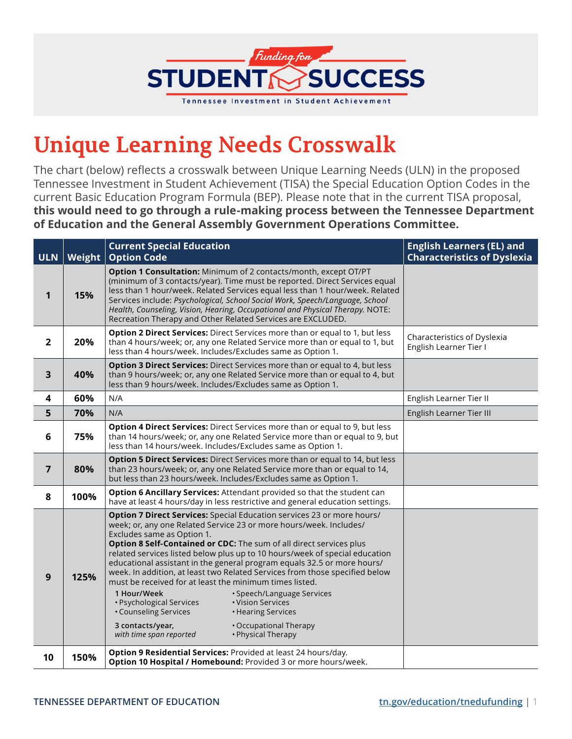

## **Unique Learning Needs Crosswalk**

The chart (below) reflects a crosswalk between Unique Learning Needs (ULN) in the proposed Tennessee Investment in Student Achievement (TISA) the Special Education Option Codes in the current Basic Education Program Formula (BEP). Please note that in the current TISA proposal, **this would need to go through a rule-making process between the Tennessee Department of Education and the General Assembly Government Operations Committee.** 

| <b>ULN</b>     | Weight | <b>Current Special Education</b><br><b>Option Code</b>                                                                                                                                                                                                                                                                                                                                                                                                                                                                                                                                                                                                                                                                                                                                            | <b>English Learners (EL) and</b><br><b>Characteristics of Dyslexia</b> |
|----------------|--------|---------------------------------------------------------------------------------------------------------------------------------------------------------------------------------------------------------------------------------------------------------------------------------------------------------------------------------------------------------------------------------------------------------------------------------------------------------------------------------------------------------------------------------------------------------------------------------------------------------------------------------------------------------------------------------------------------------------------------------------------------------------------------------------------------|------------------------------------------------------------------------|
| 1              | 15%    | Option 1 Consultation: Minimum of 2 contacts/month, except OT/PT<br>(minimum of 3 contacts/year). Time must be reported. Direct Services equal<br>less than 1 hour/week. Related Services equal less than 1 hour/week. Related<br>Services include: Psychological, School Social Work, Speech/Language, School<br>Health, Counseling, Vision, Hearing, Occupational and Physical Therapy. NOTE:<br>Recreation Therapy and Other Related Services are EXCLUDED.                                                                                                                                                                                                                                                                                                                                    |                                                                        |
| $\overline{2}$ | 20%    | <b>Option 2 Direct Services:</b> Direct Services more than or equal to 1, but less<br>than 4 hours/week; or, any one Related Service more than or equal to 1, but<br>less than 4 hours/week. Includes/Excludes same as Option 1.                                                                                                                                                                                                                                                                                                                                                                                                                                                                                                                                                                  | Characteristics of Dyslexia<br>English Learner Tier I                  |
| 3              | 40%    | Option 3 Direct Services: Direct Services more than or equal to 4, but less<br>than 9 hours/week; or, any one Related Service more than or equal to 4, but<br>less than 9 hours/week. Includes/Excludes same as Option 1.                                                                                                                                                                                                                                                                                                                                                                                                                                                                                                                                                                         |                                                                        |
| 4              | 60%    | N/A                                                                                                                                                                                                                                                                                                                                                                                                                                                                                                                                                                                                                                                                                                                                                                                               | English Learner Tier II                                                |
| 5              | 70%    | N/A                                                                                                                                                                                                                                                                                                                                                                                                                                                                                                                                                                                                                                                                                                                                                                                               | English Learner Tier III                                               |
| 6              | 75%    | Option 4 Direct Services: Direct Services more than or equal to 9, but less<br>than 14 hours/week; or, any one Related Service more than or equal to 9, but<br>less than 14 hours/week. Includes/Excludes same as Option 1.                                                                                                                                                                                                                                                                                                                                                                                                                                                                                                                                                                       |                                                                        |
| 7              | 80%    | Option 5 Direct Services: Direct Services more than or equal to 14, but less<br>than 23 hours/week; or, any one Related Service more than or equal to 14,<br>but less than 23 hours/week. Includes/Excludes same as Option 1.                                                                                                                                                                                                                                                                                                                                                                                                                                                                                                                                                                     |                                                                        |
| 8              | 100%   | Option 6 Ancillary Services: Attendant provided so that the student can<br>have at least 4 hours/day in less restrictive and general education settings.                                                                                                                                                                                                                                                                                                                                                                                                                                                                                                                                                                                                                                          |                                                                        |
| 9              | 125%   | Option 7 Direct Services: Special Education services 23 or more hours/<br>week; or, any one Related Service 23 or more hours/week. Includes/<br>Excludes same as Option 1.<br>Option 8 Self-Contained or CDC: The sum of all direct services plus<br>related services listed below plus up to 10 hours/week of special education<br>educational assistant in the general program equals 32.5 or more hours/<br>week. In addition, at least two Related Services from those specified below<br>must be received for at least the minimum times listed.<br>1 Hour/Week<br>• Speech/Language Services<br>• Psychological Services<br>• Vision Services<br>• Counseling Services<br>• Hearing Services<br>3 contacts/year,<br>• Occupational Therapy<br>with time span reported<br>• Physical Therapy |                                                                        |
| 10             | 150%   | Option 9 Residential Services: Provided at least 24 hours/day.<br>Option 10 Hospital / Homebound: Provided 3 or more hours/week.                                                                                                                                                                                                                                                                                                                                                                                                                                                                                                                                                                                                                                                                  |                                                                        |